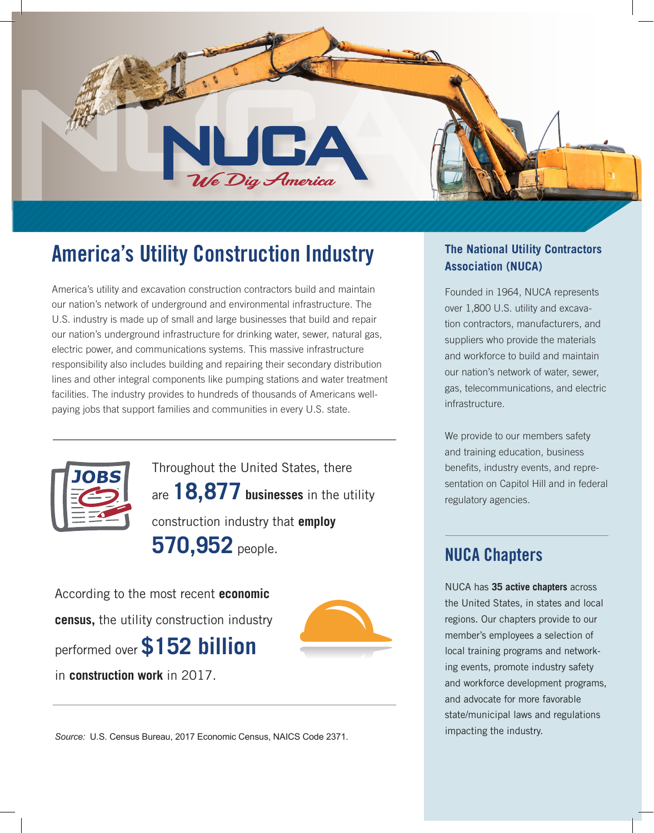

# **America's Utility Construction Industry**

America's utility and excavation construction contractors build and maintain our nation's network of underground and environmental infrastructure. The U.S. industry is made up of small and large businesses that build and repair our nation's underground infrastructure for drinking water, sewer, natural gas, electric power, and communications systems. This massive infrastructure responsibility also includes building and repairing their secondary distribution lines and other integral components like pumping stations and water treatment facilities. The industry provides to hundreds of thousands of Americans wellpaying jobs that support families and communities in every U.S. state.



Throughout the United States, there are **18,877 businesses** in the utility construction industry that **employ 570,952** people.

According to the most recent **economic census,** the utility construction industry performed over **\$152 billion** in **construction work** in 2017.



*Source:* U.S. Census Bureau, 2017 Economic Census, NAICS Code 2371.

#### **The National Utility Contractors Association (NUCA)**

Founded in 1964, NUCA represents over 1,800 U.S. utility and excavation contractors, manufacturers, and suppliers who provide the materials and workforce to build and maintain our nation's network of water, sewer, gas, telecommunications, and electric infrastructure.

We provide to our members safety and training education, business benefits, industry events, and representation on Capitol Hill and in federal regulatory agencies.

## **NUCA Chapters**

NUCA has **35 active chapters** across the United States, in states and local regions. Our chapters provide to our member's employees a selection of local training programs and networking events, promote industry safety and workforce development programs, and advocate for more favorable state/municipal laws and regulations impacting the industry.